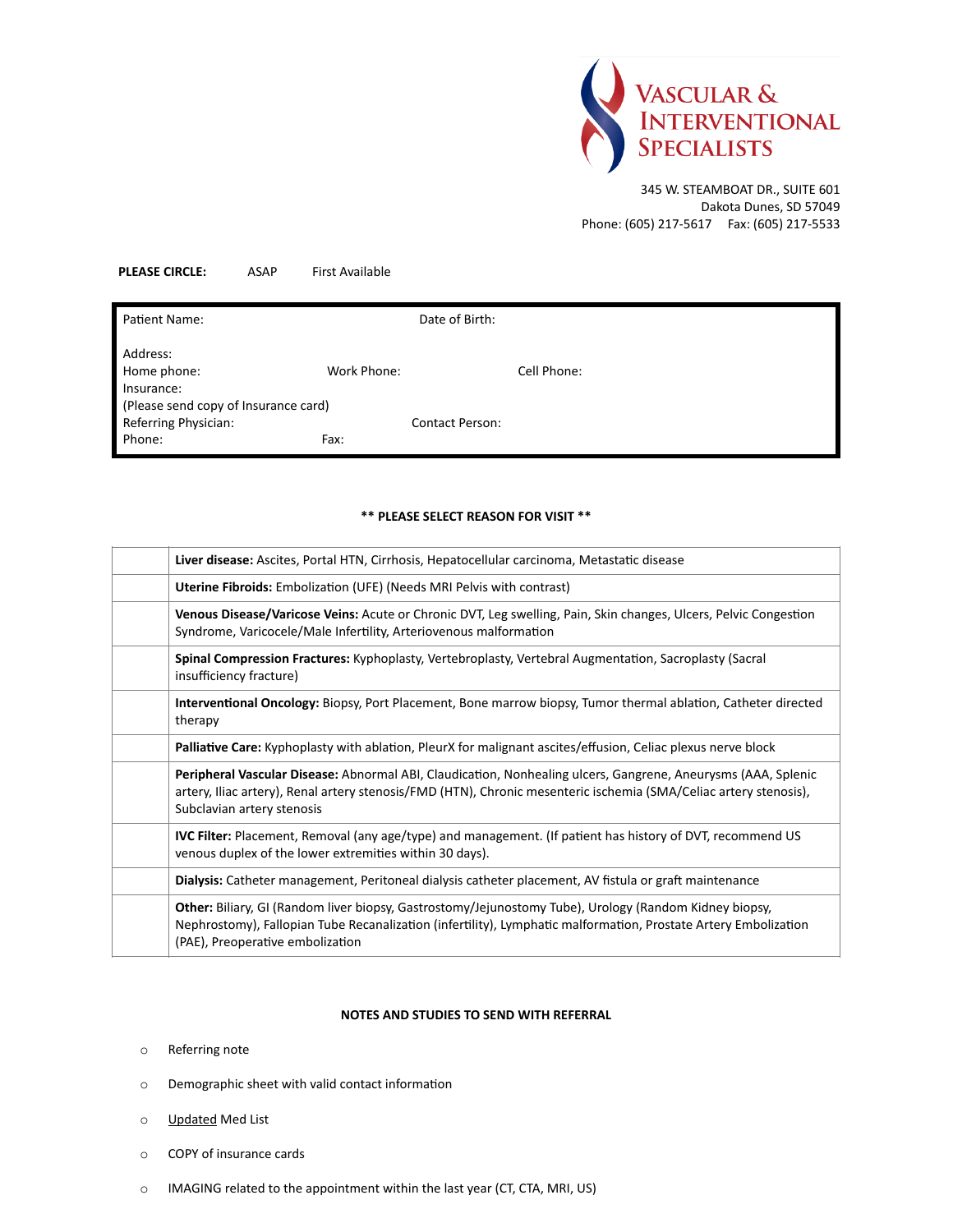

345 W. STEAMBOAT DR., SUITE 601 Dakota Dunes, SD 57049 Phone: (605) 217-5617 Fax: (605) 217-5533

## **PLEASE CIRCLE:** ASAP First Available

| Patient Name:                                                |             | Date of Birth:         |             |
|--------------------------------------------------------------|-------------|------------------------|-------------|
| Address:<br>Home phone:<br>Insurance:                        | Work Phone: |                        | Cell Phone: |
| (Please send copy of Insurance card)<br>Referring Physician: |             | <b>Contact Person:</b> |             |
| Phone:                                                       | Fax:        |                        |             |

## **\*\* PLEASE SELECT REASON FOR VISIT \*\***

| Liver disease: Ascites, Portal HTN, Cirrhosis, Hepatocellular carcinoma, Metastatic disease                                                                                                                                                                      |
|------------------------------------------------------------------------------------------------------------------------------------------------------------------------------------------------------------------------------------------------------------------|
| Uterine Fibroids: Embolization (UFE) (Needs MRI Pelvis with contrast)                                                                                                                                                                                            |
| Venous Disease/Varicose Veins: Acute or Chronic DVT, Leg swelling, Pain, Skin changes, Ulcers, Pelvic Congestion<br>Syndrome, Varicocele/Male Infertility, Arteriovenous malformation                                                                            |
| Spinal Compression Fractures: Kyphoplasty, Vertebroplasty, Vertebral Augmentation, Sacroplasty (Sacral<br>insufficiency fracture)                                                                                                                                |
| Interventional Oncology: Biopsy, Port Placement, Bone marrow biopsy, Tumor thermal ablation, Catheter directed<br>therapy                                                                                                                                        |
| Palliative Care: Kyphoplasty with ablation, PleurX for malignant ascites/effusion, Celiac plexus nerve block                                                                                                                                                     |
| Peripheral Vascular Disease: Abnormal ABI, Claudication, Nonhealing ulcers, Gangrene, Aneurysms (AAA, Splenic<br>artery, Iliac artery), Renal artery stenosis/FMD (HTN), Chronic mesenteric ischemia (SMA/Celiac artery stenosis),<br>Subclavian artery stenosis |
| IVC Filter: Placement, Removal (any age/type) and management. (If patient has history of DVT, recommend US<br>venous duplex of the lower extremities within 30 days).                                                                                            |
| Dialysis: Catheter management, Peritoneal dialysis catheter placement, AV fistula or graft maintenance                                                                                                                                                           |
| Other: Biliary, GI (Random liver biopsy, Gastrostomy/Jejunostomy Tube), Urology (Random Kidney biopsy,<br>Nephrostomy), Fallopian Tube Recanalization (infertility), Lymphatic malformation, Prostate Artery Embolization<br>(PAE), Preoperative embolization    |

## **NOTES AND STUDIES TO SEND WITH REFERRAL**

- o Referring note
- o Demographic sheet with valid contact information
- o Updated Med List
- o COPY of insurance cards
- o IMAGING related to the appointment within the last year (CT, CTA, MRI, US)